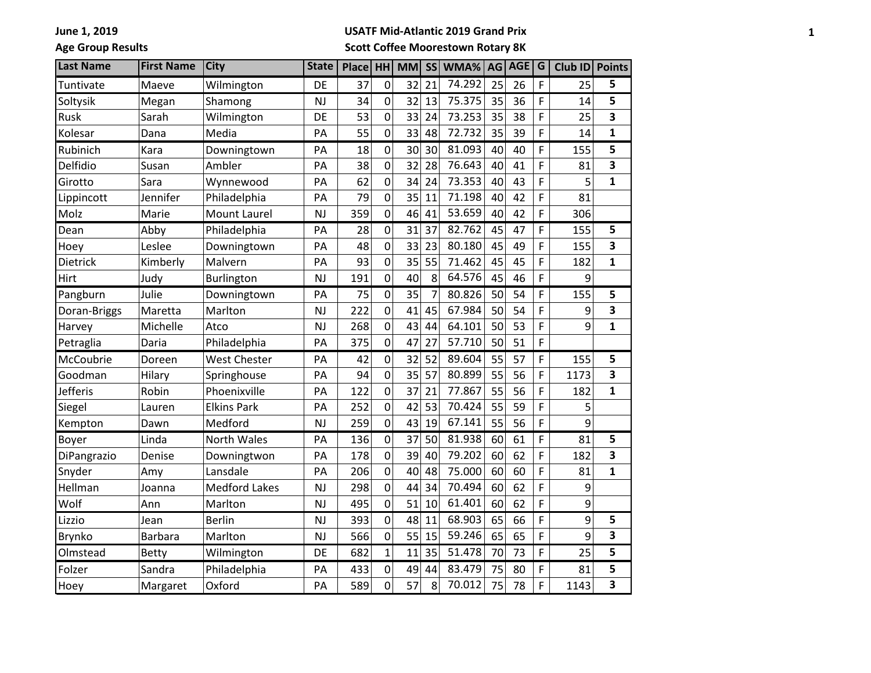**Age Group Results**

#### **USATF Mid-Atlantic 2019 Grand Prix**

## **Scott Coffee Moorestown Rotary 8K**

| <b>Last Name</b> | <b>First Name</b> | <b>City</b>          | <b>State</b> | Place | HH             | <b>MM</b> | <b>SS</b> | WMA%   | AG | <b>AGE</b> | $\overline{G}$ | <b>Club ID</b> | <b>Points</b>           |
|------------------|-------------------|----------------------|--------------|-------|----------------|-----------|-----------|--------|----|------------|----------------|----------------|-------------------------|
| Tuntivate        | Maeve             | Wilmington           | DE           | 37    | $\overline{0}$ | 32        | 21        | 74.292 | 25 | 26         | F              | 25             | 5                       |
| Soltysik         | Megan             | Shamong              | NJ           | 34    | 0              | 32        | 13        | 75.375 | 35 | 36         | F              | 14             | 5                       |
| Rusk             | Sarah             | Wilmington           | DE           | 53    | $\overline{0}$ | 33        | 24        | 73.253 | 35 | 38         | F              | 25             | 3                       |
| Kolesar          | Dana              | Media                | PA           | 55    | $\overline{0}$ | 33        | 48        | 72.732 | 35 | 39         | F              | 14             | $\mathbf{1}$            |
| Rubinich         | Kara              | Downingtown          | PA           | 18    | $\mathbf 0$    | 30        | 30        | 81.093 | 40 | 40         | F              | 155            | 5                       |
| Delfidio         | Susan             | Ambler               | PA           | 38    | $\mathbf 0$    | 32        | 28        | 76.643 | 40 | 41         | F              | 81             | 3                       |
| Girotto          | Sara              | Wynnewood            | PA           | 62    | 0              | 34        | 24        | 73.353 | 40 | 43         | F              | 5              | $\mathbf{1}$            |
| Lippincott       | Jennifer          | Philadelphia         | PA           | 79    | 0              | 35        | 11        | 71.198 | 40 | 42         | F              | 81             |                         |
| Molz             | Marie             | <b>Mount Laurel</b>  | <b>NJ</b>    | 359   | $\overline{0}$ | 46        | 41        | 53.659 | 40 | 42         | F              | 306            |                         |
| Dean             | Abby              | Philadelphia         | PA           | 28    | $\mathbf 0$    | 31        | 37        | 82.762 | 45 | 47         | F              | 155            | 5                       |
| Hoey             | Leslee            | Downingtown          | PA           | 48    | $\mathbf 0$    | 33        | 23        | 80.180 | 45 | 49         | F              | 155            | 3                       |
| Dietrick         | Kimberly          | Malvern              | PA           | 93    | $\mathbf 0$    | 35        | 55        | 71.462 | 45 | 45         | F              | 182            | $\mathbf{1}$            |
| Hirt             | Judy              | Burlington           | <b>NJ</b>    | 191   | $\overline{0}$ | 40        | 8         | 64.576 | 45 | 46         | F              | 9              |                         |
| Pangburn         | Julie             | Downingtown          | PA           | 75    | $\mathbf 0$    | 35        | 7         | 80.826 | 50 | 54         | F              | 155            | 5                       |
| Doran-Briggs     | Maretta           | Marlton              | <b>NJ</b>    | 222   | $\mathbf 0$    | 41        | 45        | 67.984 | 50 | 54         | F              | 9              | 3                       |
| Harvey           | Michelle          | Atco                 | <b>NJ</b>    | 268   | $\mathbf 0$    | 43        | 44        | 64.101 | 50 | 53         | F              | 9              | $\mathbf{1}$            |
| Petraglia        | Daria             | Philadelphia         | PA           | 375   | $\overline{0}$ | 47        | 27        | 57.710 | 50 | 51         | F              |                |                         |
| McCoubrie        | Doreen            | <b>West Chester</b>  | PA           | 42    | 0              | 32        | 52        | 89.604 | 55 | 57         | F              | 155            | 5                       |
| Goodman          | Hilary            | Springhouse          | PA           | 94    | $\overline{0}$ | 35        | 57        | 80.899 | 55 | 56         | F              | 1173           | 3                       |
| Jefferis         | Robin             | Phoenixville         | PA           | 122   | $\mathbf 0$    | 37        | 21        | 77.867 | 55 | 56         | F              | 182            | $\mathbf{1}$            |
| Siegel           | Lauren            | <b>Elkins Park</b>   | PA           | 252   | $\mathbf 0$    | 42        | 53        | 70.424 | 55 | 59         | F              | 5              |                         |
| Kempton          | Dawn              | Medford              | <b>NJ</b>    | 259   | $\overline{0}$ | 43        | 19        | 67.141 | 55 | 56         | F              | 9              |                         |
| Boyer            | Linda             | North Wales          | PA           | 136   | $\overline{0}$ | 37        | 50        | 81.938 | 60 | 61         | F              | 81             | 5                       |
| DiPangrazio      | Denise            | Downingtwon          | PA           | 178   | $\overline{0}$ | 39        | 40        | 79.202 | 60 | 62         | F              | 182            | $\overline{\mathbf{3}}$ |
| Snyder           | Amy               | Lansdale             | PA           | 206   | $\mathbf 0$    | 40        | 48        | 75.000 | 60 | 60         | F              | 81             | $\mathbf{1}$            |
| Hellman          | Joanna            | <b>Medford Lakes</b> | <b>NJ</b>    | 298   | 0              | 44        | 34        | 70.494 | 60 | 62         | F              | 9              |                         |
| Wolf             | Ann               | Marlton              | <b>NJ</b>    | 495   | $\mathbf 0$    | 51        | 10        | 61.401 | 60 | 62         | F              | 9              |                         |
| Lizzio           | Jean              | <b>Berlin</b>        | <b>NJ</b>    | 393   | $\mathbf 0$    | 48        | 11        | 68.903 | 65 | 66         | F              | 9              | 5                       |
| <b>Brynko</b>    | <b>Barbara</b>    | Marlton              | <b>NJ</b>    | 566   | $\overline{0}$ | 55        | 15        | 59.246 | 65 | 65         | F              | 9              | 3                       |
| Olmstead         | <b>Betty</b>      | Wilmington           | DE           | 682   | $\mathbf{1}$   | 11        | 35        | 51.478 | 70 | 73         | F              | 25             | $\overline{\mathbf{5}}$ |
| Folzer           | Sandra            | Philadelphia         | PA           | 433   | 0              | 49        | 44        | 83.479 | 75 | 80         | F              | 81             | 5                       |
| Hoey             | Margaret          | Oxford               | PA           | 589   | 0              | 57        | 8         | 70.012 | 75 | 78         | F              | 1143           | 3                       |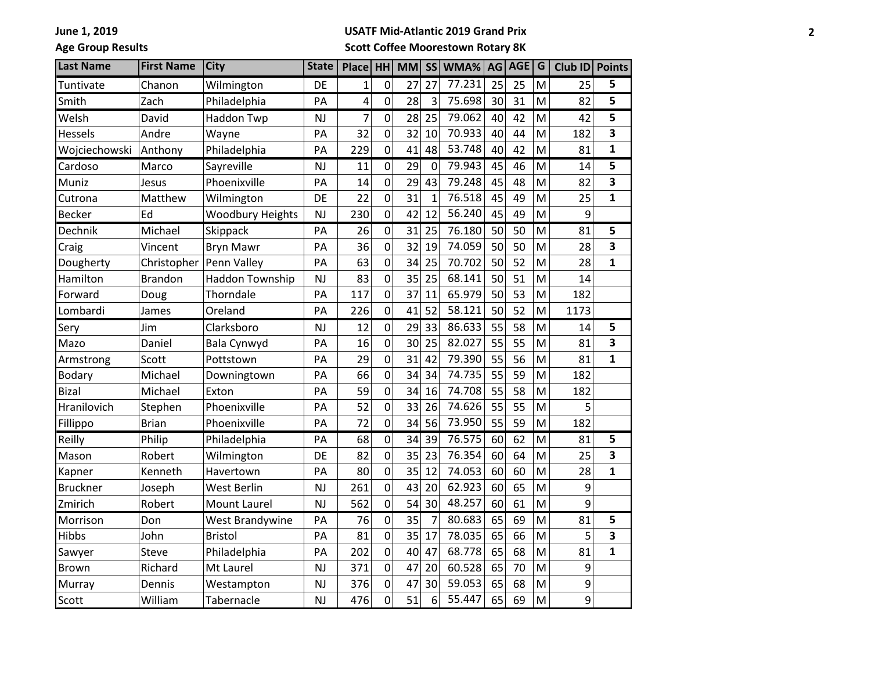**Age Group Results**

#### **USATF Mid-Atlantic 2019 Grand Prix**

## **Scott Coffee Moorestown Rotary 8K**

| <b>Last Name</b> | <b>First Name</b> | <b>City</b>             | <b>State</b> | Place          | <b>HH</b>      | <b>MM</b> | <b>SS</b>      | WMA%   | AG | <b>AGE</b> | G | Club ID | <b>Points</b>           |
|------------------|-------------------|-------------------------|--------------|----------------|----------------|-----------|----------------|--------|----|------------|---|---------|-------------------------|
| Tuntivate        | Chanon            | Wilmington              | DE           | $\mathbf{1}$   | $\mathbf 0$    | 27        | 27             | 77.231 | 25 | 25         | M | 25      | 5                       |
| Smith            | Zach              | Philadelphia            | PA           | 4              | $\overline{0}$ | 28        | $\overline{3}$ | 75.698 | 30 | 31         | M | 82      | 5                       |
| Welsh            | David             | Haddon Twp              | <b>NJ</b>    | $\overline{7}$ | $\mathbf 0$    | 28        | 25             | 79.062 | 40 | 42         | M | 42      | 5                       |
| Hessels          | Andre             | Wayne                   | PA           | 32             | 0              | 32        | 10             | 70.933 | 40 | 44         | M | 182     | $\overline{\mathbf{3}}$ |
| Wojciechowski    | Anthony           | Philadelphia            | PA           | 229            | $\overline{0}$ | 41        | 48             | 53.748 | 40 | 42         | M | 81      | $\mathbf{1}$            |
| Cardoso          | Marco             | Sayreville              | <b>NJ</b>    | 11             | $\mathbf 0$    | 29        | $\mathbf 0$    | 79.943 | 45 | 46         | M | 14      | 5                       |
| Muniz            | Jesus             | Phoenixville            | PA           | 14             | 0              | 29        | 43             | 79.248 | 45 | 48         | M | 82      | 3                       |
| Cutrona          | Matthew           | Wilmington              | DE           | 22             | 0              | 31        | $\mathbf{1}$   | 76.518 | 45 | 49         | M | 25      | $\mathbf{1}$            |
| <b>Becker</b>    | Ed                | <b>Woodbury Heights</b> | <b>NJ</b>    | 230            | $\overline{0}$ | 42        | 12             | 56.240 | 45 | 49         | M | 9       |                         |
| Dechnik          | Michael           | Skippack                | PA           | 26             | $\mathbf 0$    | 31        | 25             | 76.180 | 50 | 50         | M | 81      | 5                       |
| Craig            | Vincent           | <b>Bryn Mawr</b>        | PA           | 36             | 0              | 32        | 19             | 74.059 | 50 | 50         | M | 28      | 3                       |
| Dougherty        | Christopher       | Penn Valley             | PA           | 63             | 0              | 34        | 25             | 70.702 | 50 | 52         | M | 28      | 1                       |
| Hamilton         | Brandon           | Haddon Township         | <b>NJ</b>    | 83             | 0              | 35        | 25             | 68.141 | 50 | 51         | M | 14      |                         |
| Forward          | Doug              | Thorndale               | PA           | 117            | $\overline{0}$ | 37        | 11             | 65.979 | 50 | 53         | M | 182     |                         |
| Lombardi         | James             | Oreland                 | PA           | 226            | 0              | 41        | 52             | 58.121 | 50 | 52         | M | 1173    |                         |
| Sery             | Jim               | Clarksboro              | NJ           | 12             | $\mathbf 0$    | 29        | 33             | 86.633 | 55 | 58         | M | 14      | 5                       |
| Mazo             | Daniel            | Bala Cynwyd             | PA           | 16             | 0              | 30        | 25             | 82.027 | 55 | 55         | M | 81      | 3                       |
| Armstrong        | Scott             | Pottstown               | PA           | 29             | $\overline{0}$ | 31        | 42             | 79.390 | 55 | 56         | M | 81      | $\mathbf{1}$            |
| <b>Bodary</b>    | Michael           | Downingtown             | PA           | 66             | 0              | 34        | 34             | 74.735 | 55 | 59         | M | 182     |                         |
| <b>Bizal</b>     | Michael           | Exton                   | PA           | 59             | $\overline{0}$ | 34        | 16             | 74.708 | 55 | 58         | M | 182     |                         |
| Hranilovich      | Stephen           | Phoenixville            | PA           | 52             | $\overline{0}$ | 33        | 26             | 74.626 | 55 | 55         | M | 5       |                         |
| Fillippo         | <b>Brian</b>      | Phoenixville            | PA           | 72             | 0              | 34        | 56             | 73.950 | 55 | 59         | M | 182     |                         |
| Reilly           | Philip            | Philadelphia            | PA           | 68             | 0              | 34        | 39             | 76.575 | 60 | 62         | M | 81      | 5                       |
| Mason            | Robert            | Wilmington              | DE           | 82             | 0              | 35        | 23             | 76.354 | 60 | 64         | M | 25      | 3                       |
| Kapner           | Kenneth           | Havertown               | PA           | 80             | $\overline{0}$ | 35        | 12             | 74.053 | 60 | 60         | M | 28      | $\mathbf{1}$            |
| <b>Bruckner</b>  | Joseph            | West Berlin             | <b>NJ</b>    | 261            | $\overline{0}$ | 43        | 20             | 62.923 | 60 | 65         | M | 9       |                         |
| Zmirich          | Robert            | <b>Mount Laurel</b>     | <b>NJ</b>    | 562            | $\mathbf 0$    | 54        | 30             | 48.257 | 60 | 61         | M | 9       |                         |
| Morrison         | Don               | West Brandywine         | PA           | 76             | $\mathbf 0$    | 35        | $\overline{7}$ | 80.683 | 65 | 69         | M | 81      | 5                       |
| Hibbs            | John              | <b>Bristol</b>          | PA           | 81             | 0              | 35        | 17             | 78.035 | 65 | 66         | M | 5       | 3                       |
| Sawyer           | Steve             | Philadelphia            | PA           | 202            | 0              | 40        | 47             | 68.778 | 65 | 68         | M | 81      | $\mathbf{1}$            |
| <b>Brown</b>     | Richard           | Mt Laurel               | <b>NJ</b>    | 371            | 0              | 47        | 20             | 60.528 | 65 | 70         | M | 9       |                         |
| Murray           | Dennis            | Westampton              | <b>NJ</b>    | 376            | $\mathbf 0$    | 47        | 30             | 59.053 | 65 | 68         | M | 9       |                         |
| Scott            | William           | Tabernacle              | <b>NJ</b>    | 476            | $\overline{0}$ | 51        | 6              | 55.447 | 65 | 69         | M | 9       |                         |